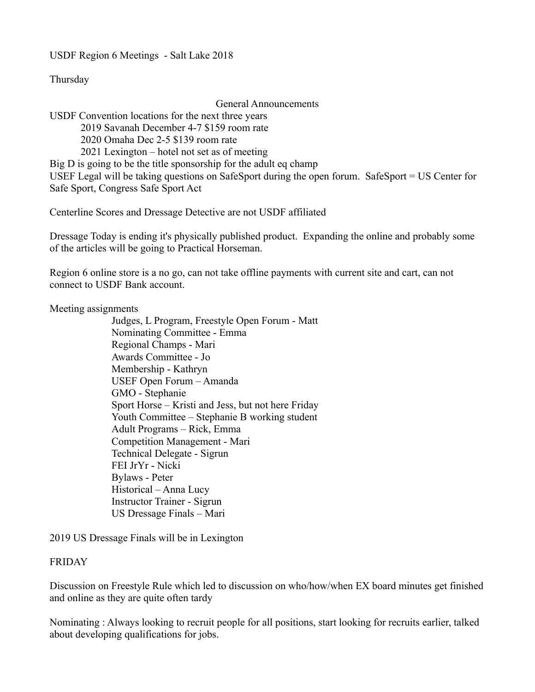USDF Region 6 Meetings - Salt Lake 2018

Thursday

General Announcements

USDF Convention locations for the next three years

2019 Savanah December 4-7 \$159 room rate

2020 Omaha Dec 2-5 \$139 room rate

2021 Lexington – hotel not set as of meeting

Big D is going to be the title sponsorship for the adult eq champ

USEF Legal will be taking questions on SafeSport during the open forum. SafeSport = US Center for Safe Sport, Congress Safe Sport Act

Centerline Scores and Dressage Detective are not USDF affiliated

Dressage Today is ending it's physically published product. Expanding the online and probably some of the articles will be going to Practical Horseman.

Region 6 online store is a no go, can not take offline payments with current site and cart, can not connect to USDF Bank account.

Meeting assignments

Judges, L Program, Freestyle Open Forum - Matt Nominating Committee - Emma Regional Champs - Mari Awards Committee - Jo Membership - Kathryn USEF Open Forum – Amanda GMO - Stephanie Sport Horse – Kristi and Jess, but not here Friday Youth Committee – Stephanie B working student Adult Programs – Rick, Emma Competition Management - Mari Technical Delegate - Sigrun FEI JrYr - Nicki Bylaws - Peter Historical – Anna Lucy Instructor Trainer - Sigrun US Dressage Finals – Mari

2019 US Dressage Finals will be in Lexington

# FRIDAY

Discussion on Freestyle Rule which led to discussion on who/how/when EX board minutes get finished and online as they are quite often tardy

Nominating : Always looking to recruit people for all positions, start looking for recruits earlier, talked about developing qualifications for jobs.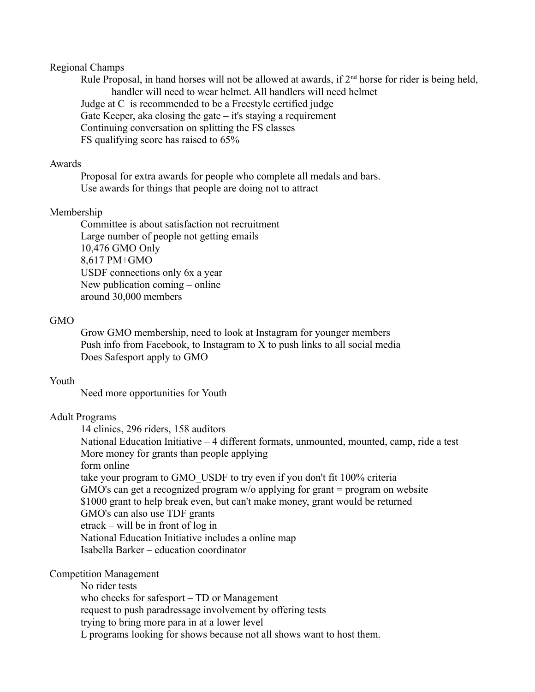### Regional Champs

Rule Proposal, in hand horses will not be allowed at awards, if  $2<sup>nd</sup>$  horse for rider is being held, handler will need to wear helmet. All handlers will need helmet Judge at C is recommended to be a Freestyle certified judge Gate Keeper, aka closing the gate – it's staying a requirement Continuing conversation on splitting the FS classes FS qualifying score has raised to 65%

#### Awards

Proposal for extra awards for people who complete all medals and bars. Use awards for things that people are doing not to attract

#### Membership

Committee is about satisfaction not recruitment Large number of people not getting emails 10,476 GMO Only 8,617 PM+GMO USDF connections only 6x a year New publication coming – online around 30,000 members

#### GMO

Grow GMO membership, need to look at Instagram for younger members Push info from Facebook, to Instagram to X to push links to all social media Does Safesport apply to GMO

#### Youth

Need more opportunities for Youth

### Adult Programs

14 clinics, 296 riders, 158 auditors National Education Initiative – 4 different formats, unmounted, mounted, camp, ride a test More money for grants than people applying form online take your program to GMO\_USDF to try even if you don't fit 100% criteria GMO's can get a recognized program w/o applying for grant = program on website \$1000 grant to help break even, but can't make money, grant would be returned GMO's can also use TDF grants etrack – will be in front of log in National Education Initiative includes a online map Isabella Barker – education coordinator

### Competition Management

No rider tests who checks for safesport – TD or Management request to push paradressage involvement by offering tests trying to bring more para in at a lower level L programs looking for shows because not all shows want to host them.